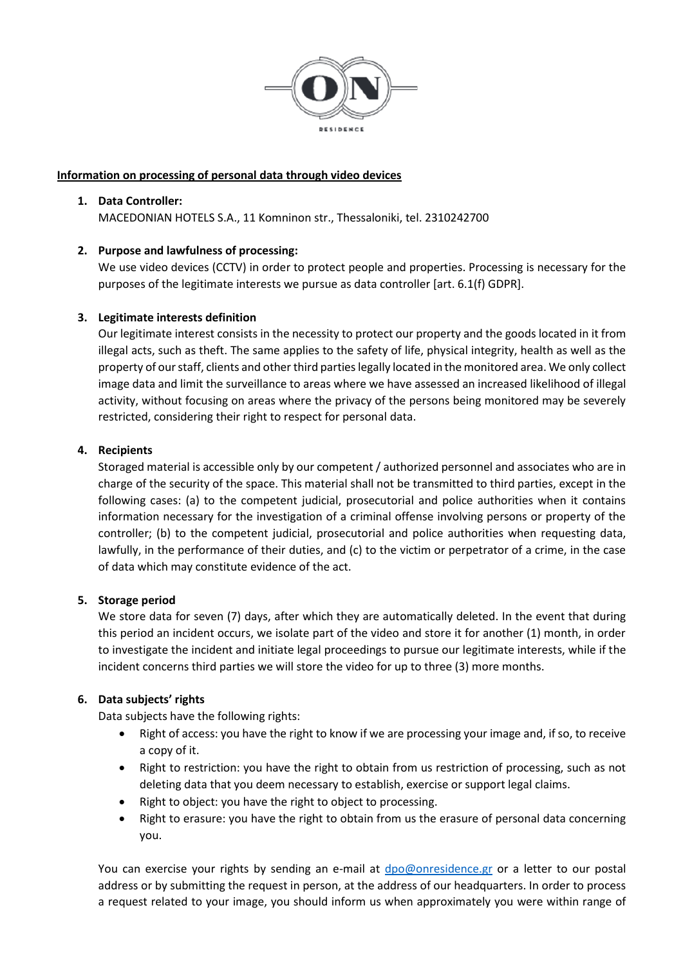

# **Information on processing of personal data through video devices**

# **1. Data Controller:**

MACEDONIAN HOTELS S.A., 11 Komninon str., Thessaloniki, tel. 2310242700

### **2. Purpose and lawfulness of processing:**

We use video devices (CCTV) in order to protect people and properties. Processing is necessary for the purposes of the legitimate interests we pursue as data controller [art. 6.1(f) GDPR].

### **3. Legitimate interests definition**

Our legitimate interest consists in the necessity to protect our property and the goods located in it from illegal acts, such as theft. The same applies to the safety of life, physical integrity, health as well as the property of our staff, clients and other third parties legally located in the monitored area. We only collect image data and limit the surveillance to areas where we have assessed an increased likelihood of illegal activity, without focusing on areas where the privacy of the persons being monitored may be severely restricted, considering their right to respect for personal data.

### **4. Recipients**

Storaged material is accessible only by our competent / authorized personnel and associates who are in charge of the security of the space. This material shall not be transmitted to third parties, except in the following cases: (a) to the competent judicial, prosecutorial and police authorities when it contains information necessary for the investigation of a criminal offense involving persons or property of the controller; (b) to the competent judicial, prosecutorial and police authorities when requesting data, lawfully, in the performance of their duties, and (c) to the victim or perpetrator of a crime, in the case of data which may constitute evidence of the act.

#### **5. Storage period**

We store data for seven (7) days, after which they are automatically deleted. In the event that during this period an incident occurs, we isolate part of the video and store it for another (1) month, in order to investigate the incident and initiate legal proceedings to pursue our legitimate interests, while if the incident concerns third parties we will store the video for up to three (3) more months.

# **6. Data subjects' rights**

Data subjects have the following rights:

- Right of access: you have the right to know if we are processing your image and, if so, to receive a copy of it.
- Right to restriction: you have the right to obtain from us restriction of processing, such as not deleting data that you deem necessary to establish, exercise or support legal claims.
- Right to object: you have the right to object to processing.
- Right to erasure: you have the right to obtain from us the erasure of personal data concerning you.

You can exercise your rights by sending an e-mail at [dpo@onresidence.gr](mailto:dpo@onresidence.gr) or a letter to our postal address or by submitting the request in person, at the address of our headquarters. In order to process a request related to your image, you should inform us when approximately you were within range of